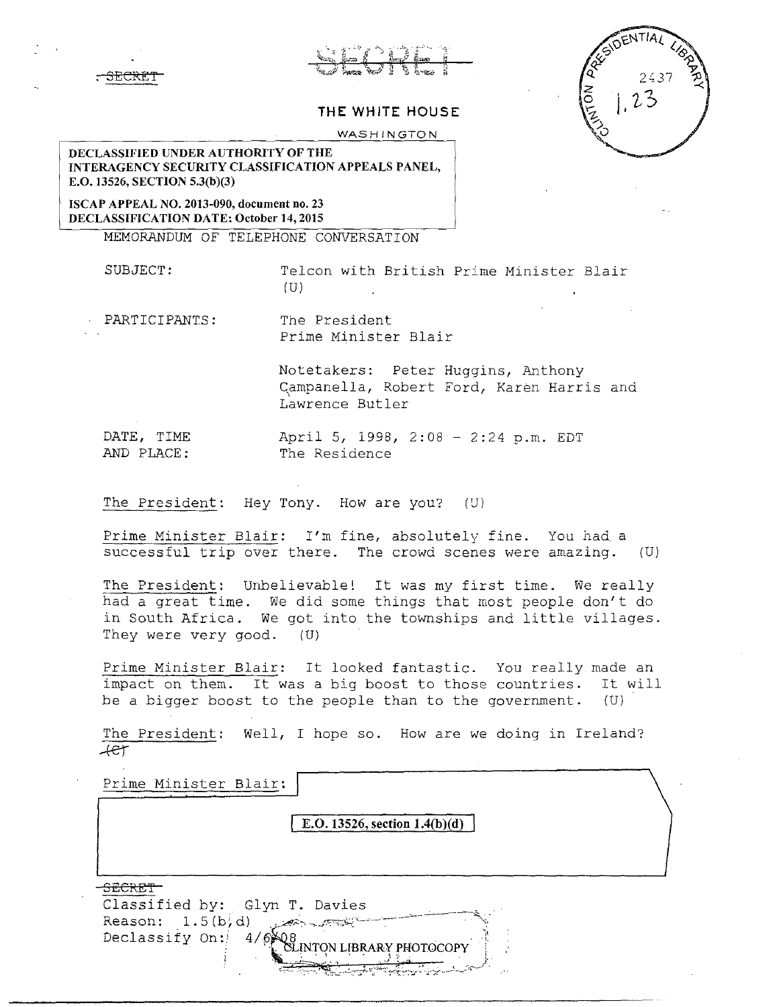## **THE WHITE HOUSE**

WASHINGTON

## DECLASSIFIED UNDER AUTHORITY OF THE INTERAGENCY SECURITY CLASSIFICATION APPEALS PANEL, E.O. 13526, SECTION 5.3(b)(3)

ISCAP APPEAL NO. 2013-090, document no. 23 DECLASSIFICATION DATE: October 14, 2015

<del>, SECRET</del>

MEMORANDUM OF TELEPHONE CONVERSATION

SUBJECT: Telcon with British Prime Minister Blair (U)

PARTICIPANTS: The President Prime Minister Blair

> Notetakers: Peter Huggins, Anthony Campanella, Robert Ford, Karen Harris and Lawrence Butler

DATE, TIME April 5, 1998, 2:08 - 2:24 p.m. EDT<br>AND PLACE: The Residence The Residence

The President: Hey Tony. How are you? (U)

Prime Minister Blair: I'm fine, absolutely fine. You had a successful trip over there. The crowd scenes were amazing. (U)

The President: Unbelievable! It was my first time. We really had a great time. We did some things that most people don't do in South Africa. We got into the townships and little villages. They were very good. (U)

Prime Minister Blair: It looked fantastic. You really made an impact on them. It was a big boost to those countries. It will be a bigger boost to the people than to the government. (U)

The President: Well, I hope so. How are we doing in Ireland?  $+e<sub>t</sub>$ 

Prime Minister Blair: E.0.13526, section l.4(b)(d) SECRET<sup>-</sup> Classified by: Glyn T. Davies  $Reason: 1.5(b, d)$  ...  $\longrightarrow$ Declassify On: INTON LIBRARY PHOTOCOPY ' ~~-.! --~'f:-:--;,.:.-:~~,~·='.;"·::-4.:~:...:.-'.\_'--~---;-----~-.\_;·.-:,~,~' .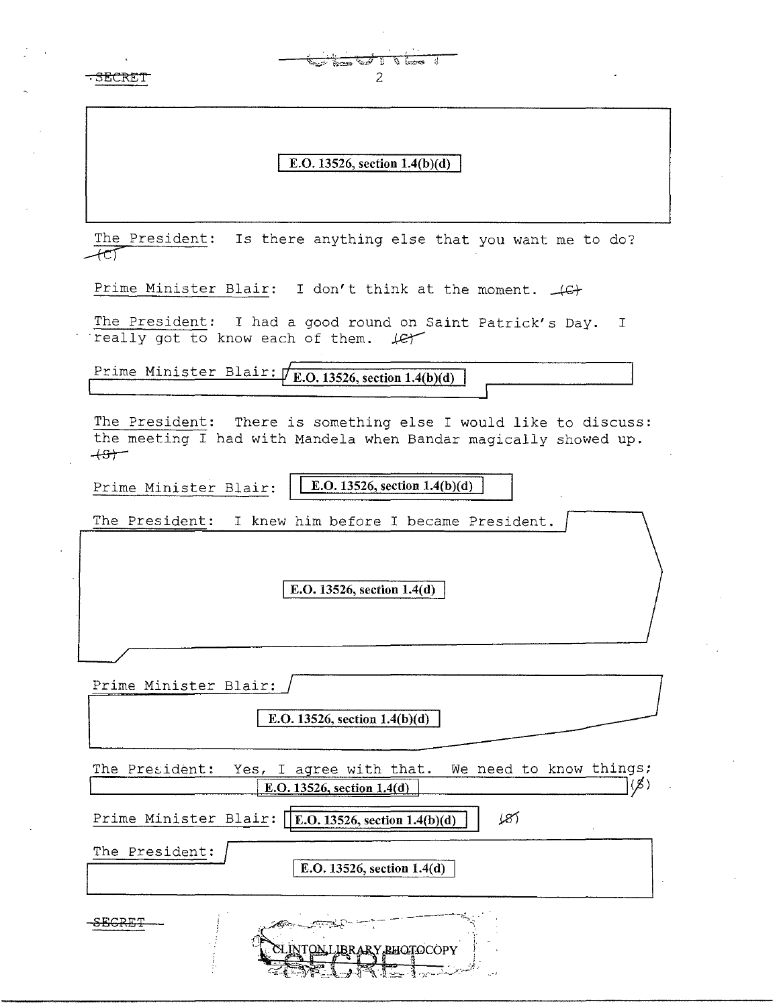| TUKI.          | $\frac{1}{\sqrt{\frac{1}{2}}\cdot\frac{1}{2}}$<br>2                                                                                |
|----------------|------------------------------------------------------------------------------------------------------------------------------------|
|                | E.O. 13526, section $1.4(b)(d)$                                                                                                    |
|                | The President: Is there anything else that you want me to do?                                                                      |
|                | Prime Minister Blair: I don't think at the moment. $\downarrow$ G+                                                                 |
|                | The President: I had a good round on Saint Patrick's Day. I<br>really got to know each of them. Let                                |
|                | Prime Minister Blair: $\sqrt{\text{E.O. 13526, section 1.4(b)(d)}}$                                                                |
| $+5$           | The President: There is something else I would like to discuss:<br>the meeting I had with Mandela when Bandar magically showed up. |
|                | E.O. 13526, section $1.4(b)(d)$<br>Prime Minister Blair:                                                                           |
|                | The President: I knew him before I became President.                                                                               |
|                | E.O. 13526, section 1.4(d)                                                                                                         |
|                | Prime Minister Blair:                                                                                                              |
|                | E.O. 13526, section 1.4(b)(d)                                                                                                      |
| The President: | We need to know things;<br>Yes, I agree with that.<br>E.O. 13526, section 1.4(d)                                                   |
|                | Prime Minister Blair: [E.O. 13526, section 1.4(b)(d)<br>181                                                                        |
| The President: | E.O. 13526, section 1.4(d)                                                                                                         |
|                | LINTON LIBRARY BHOTOCOPY                                                                                                           |

 $\frac{1}{\sqrt{2}}$ 

 $\epsilon_{\rm{eff}}$ 

 $\hat{\mathcal{L}}$ 

 $\mathcal{L}^{\mathcal{L}}$ 

 $\sim$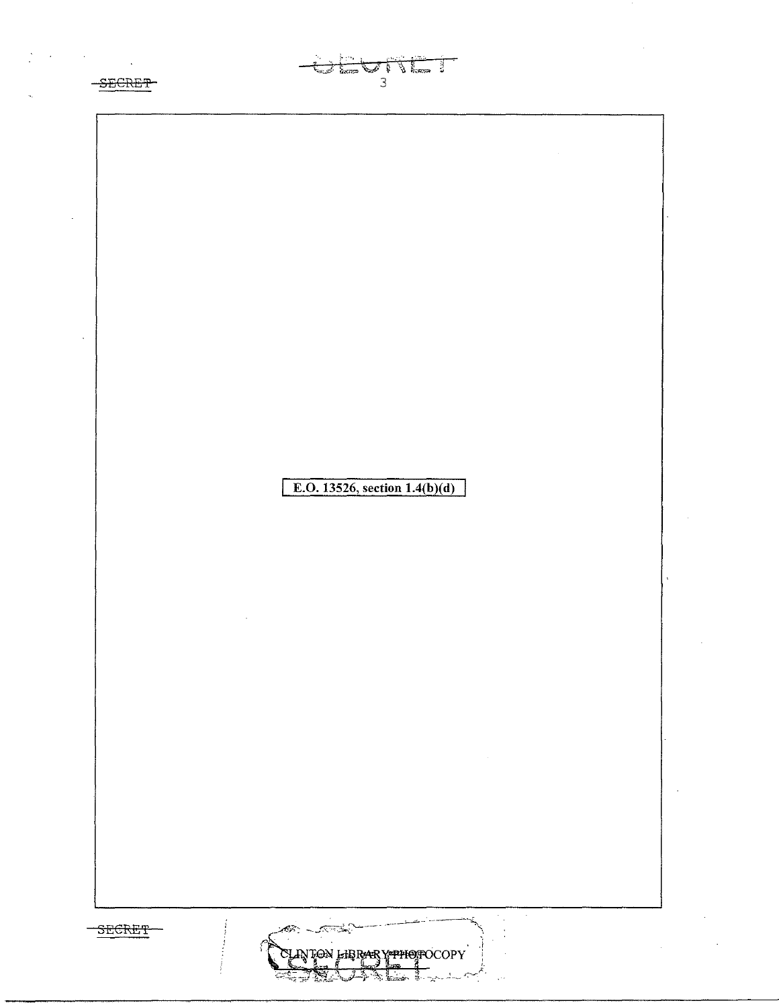-SECRET

 $\label{eq:2} \frac{1}{\sqrt{2}}\left(\frac{1}{\sqrt{2}}\right)^{2} \left(\frac{1}{\sqrt{2}}\right)^{2} \left(\frac{1}{\sqrt{2}}\right)^{2} \left(\frac{1}{\sqrt{2}}\right)^{2}$ 



 $\begin{array}{c}\n\bullet \\
\bullet \\
\bullet \\
\end{array}$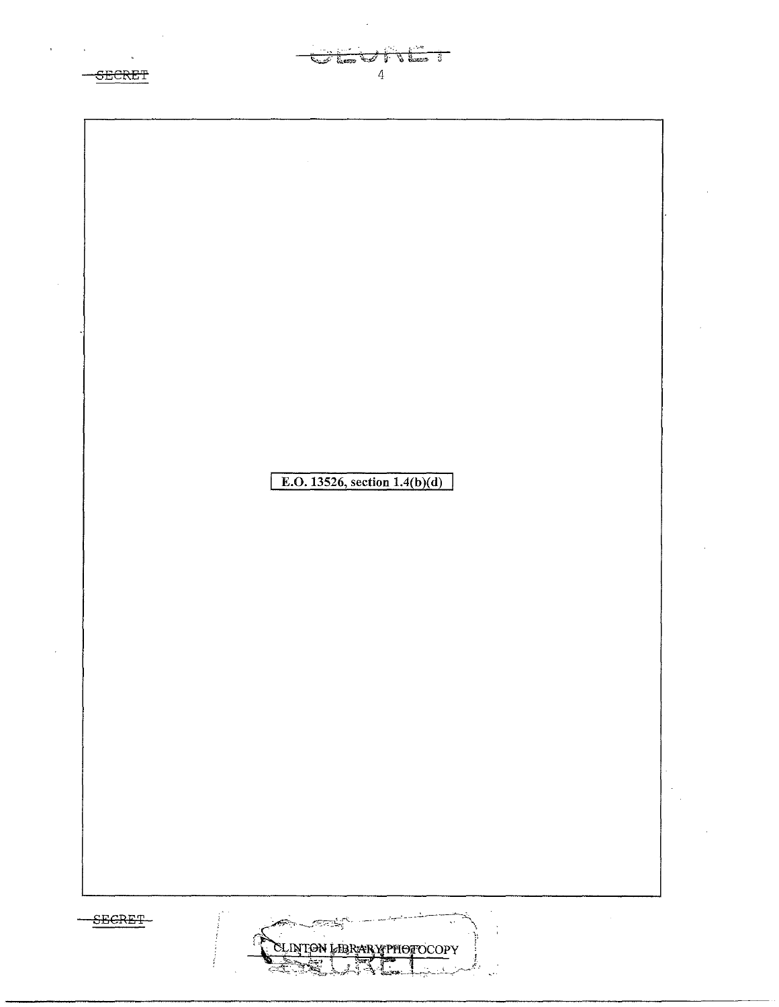$-$ SECRET

 $\mathcal{O}(\mathcal{O}(\log n))$ 



 $\overline{4}$ 

the search of the town of فتحقيقا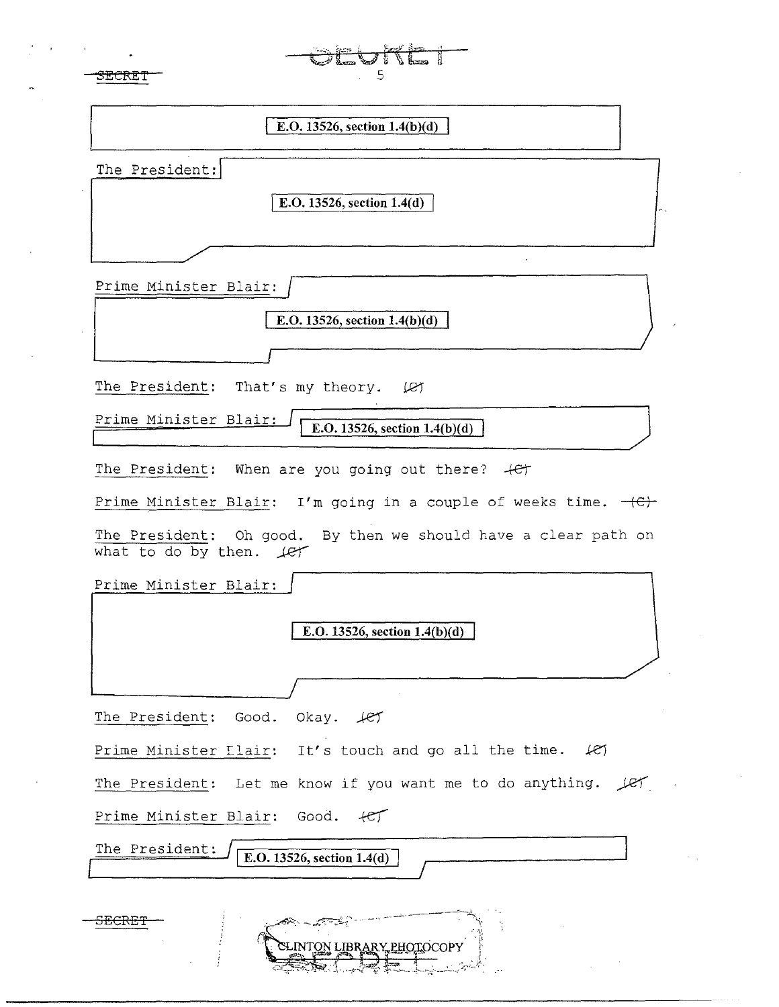| 5<br>SECKET                                                                               |
|-------------------------------------------------------------------------------------------|
| E.O. 13526, section $1.4(b)(d)$                                                           |
| The President:<br>E.O. 13526, section 1.4(d)                                              |
| Prime Minister Blair:                                                                     |
| E.O. 13526, section $1.4(b)(d)$                                                           |
|                                                                                           |
| The President: That's my theory. (27                                                      |
| Prime Minister Blair:<br>E.O. 13526, section $1.4(b)(d)$                                  |
| The President: When are you going out there? $+e^+$                                       |
| Prime Minister Blair: I'm going in a couple of weeks time. $+e$                           |
| The President: Oh good. By then we should have a clear path on<br>what to do by then. Let |
| Prime Minister Blair:                                                                     |
| E.O. 13526, section $1.4(b)(d)$                                                           |
|                                                                                           |
| The President:<br>Good.<br>Okay. fet                                                      |
| Prime Minister Elair: It's touch and go all the time.<br>$+e$                             |
| The President: Let me know if you want me to do anything.<br>LET                          |
| Good.<br>Prime Minister Blair:<br>$+CT$                                                   |
| The President:<br>E.O. 13526, section 1.4(d)                                              |
| <del>, Tilly</del><br>INTON LIBRARY PHOTOCOPY                                             |

 $\frac{1}{2} \left( \frac{1}{2} \right) \left( \frac{1}{2} \right)$ 

 $\omega_{\rm{max}}$ 

 $\ddot{\phantom{0}}$